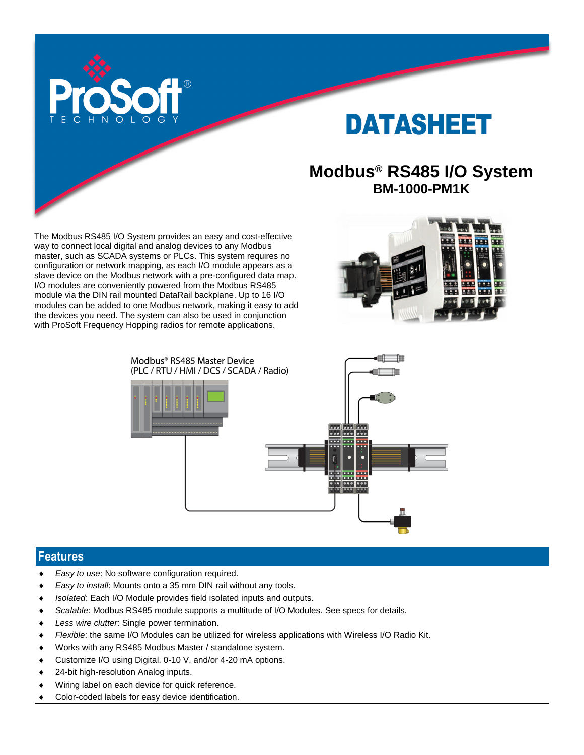

# DATASHEET

## **Modbus® RS485 I/O System BM-1000-PM1K**

The Modbus RS485 I/O System provides an easy and cost-effective way to connect local digital and analog devices to any Modbus master, such as SCADA systems or PLCs. This system requires no configuration or network mapping, as each I/O module appears as a slave device on the Modbus network with a pre-configured data map. I/O modules are conveniently powered from the Modbus RS485 module via the DIN rail mounted DataRail backplane. Up to 16 I/O modules can be added to one Modbus network, making it easy to add the devices you need. The system can also be used in conjunction with ProSoft Frequency Hopping radios for remote applications.





#### **Features**

- *Easy to use*: No software configuration required.
- *Easy to install*: Mounts onto a 35 mm DIN rail without any tools.
- *Isolated*: Each I/O Module provides field isolated inputs and outputs.
- *Scalable*: Modbus RS485 module supports a multitude of I/O Modules. See specs for details.
- *Less wire clutter*: Single power termination.
- *Flexible*: the same I/O Modules can be utilized for wireless applications with Wireless I/O Radio Kit.
- Works with any RS485 Modbus Master / standalone system.
- Customize I/O using Digital, 0-10 V, and/or 4-20 mA options.
- 24-bit high-resolution Analog inputs.
- Wiring label on each device for quick reference.
- Color-coded labels for easy device identification.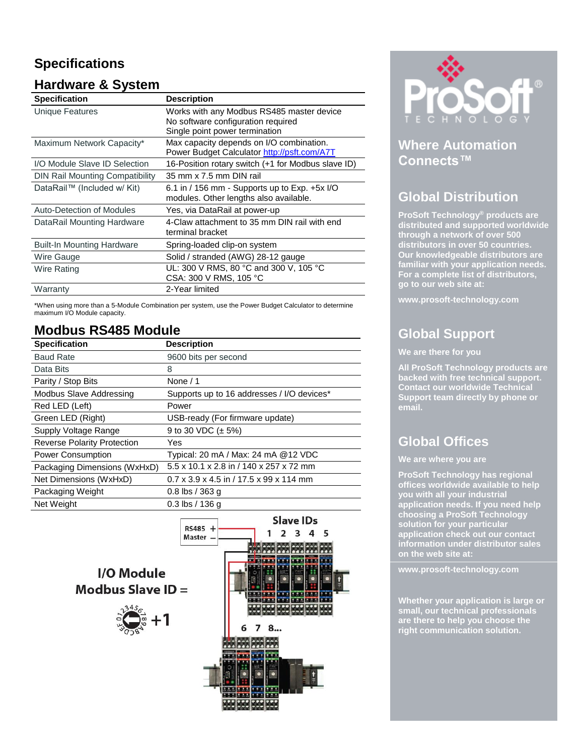# **Specifications**

#### **Hardware & System**

| <b>Specification</b>                   | <b>Description</b>                                                                        |
|----------------------------------------|-------------------------------------------------------------------------------------------|
| Unique Features                        | Works with any Modbus RS485 master device<br>No software configuration required           |
|                                        | Single point power termination                                                            |
| Maximum Network Capacity*              | Max capacity depends on I/O combination.<br>Power Budget Calculator http://psft.com/A7T   |
| I/O Module Slave ID Selection          | 16-Position rotary switch (+1 for Modbus slave ID)                                        |
| <b>DIN Rail Mounting Compatibility</b> | 35 mm x 7.5 mm DIN rail                                                                   |
| DataRail™ (Included w/ Kit)            | 6.1 in / 156 mm - Supports up to Exp. $+5x$ I/O<br>modules. Other lengths also available. |
| Auto-Detection of Modules              | Yes, via DataRail at power-up                                                             |
| DataRail Mounting Hardware             | 4-Claw attachment to 35 mm DIN rail with end<br>terminal bracket                          |
| <b>Built-In Mounting Hardware</b>      | Spring-loaded clip-on system                                                              |
| Wire Gauge                             | Solid / stranded (AWG) 28-12 gauge                                                        |
| Wire Rating                            | UL: 300 V RMS, 80 °C and 300 V, 105 °C<br>CSA: 300 V RMS, 105 °C                          |
| Warranty                               | 2-Year limited                                                                            |

\*When using more than a 5-Module Combination per system, use the Power Budget Calculator to determine maximum I/O Module capacity.

#### **Modbus RS485 Module**

| <b>Specification</b>               | <b>Description</b>                                  |
|------------------------------------|-----------------------------------------------------|
| <b>Baud Rate</b>                   | 9600 bits per second                                |
| Data Bits                          | 8                                                   |
| Parity / Stop Bits                 | None $/ 1$                                          |
| Modbus Slave Addressing            | Supports up to 16 addresses / I/O devices*          |
| Red LED (Left)                     | Power                                               |
| Green LED (Right)                  | USB-ready (For firmware update)                     |
| Supply Voltage Range               | 9 to 30 VDC $(\pm 5\%)$                             |
| <b>Reverse Polarity Protection</b> | Yes                                                 |
| <b>Power Consumption</b>           | Typical: 20 mA / Max: 24 mA @12 VDC                 |
| Packaging Dimensions (WxHxD)       | 5.5 x 10.1 x 2.8 in / 140 x 257 x 72 mm             |
| Net Dimensions (WxHxD)             | $0.7 \times 3.9 \times 4.5$ in / 17.5 x 99 x 114 mm |
| Packaging Weight                   | $0.8$ lbs / 363 g                                   |
| Net Weight                         | $0.3$ lbs / 136 g                                   |





#### **Where Automation Connects™**

#### **Global Distribution**

**ProSoft Technology® products are distributed and supported worldwide through a network of over 500 distributors in over 50 countries. Our knowledgeable distributors are familiar with your application needs. For a complete list of distributors, go to our web site at:**

**www.prosoft-technology.com**

# **Global Support**

**We are there for you**

**All ProSoft Technology products are backed with free technical support. Contact our worldwide Technical Support team directly by phone or email.**

## **Global Offices**

**We are where you are** 

**ProSoft Technology has regional offices worldwide available to help you with all your industrial application needs. If you need help choosing a ProSoft Technology solution for your particular application check out our contact information under distributor sales on the web site at:**

**www.prosoft-technology.com**

**Whether your application is large or small, our technical professionals are there to help you choose the right communication solution.**